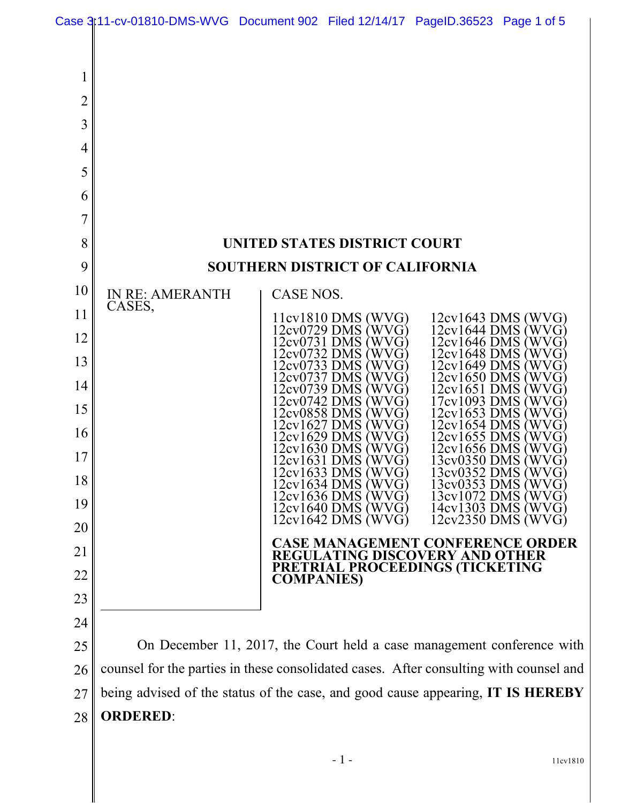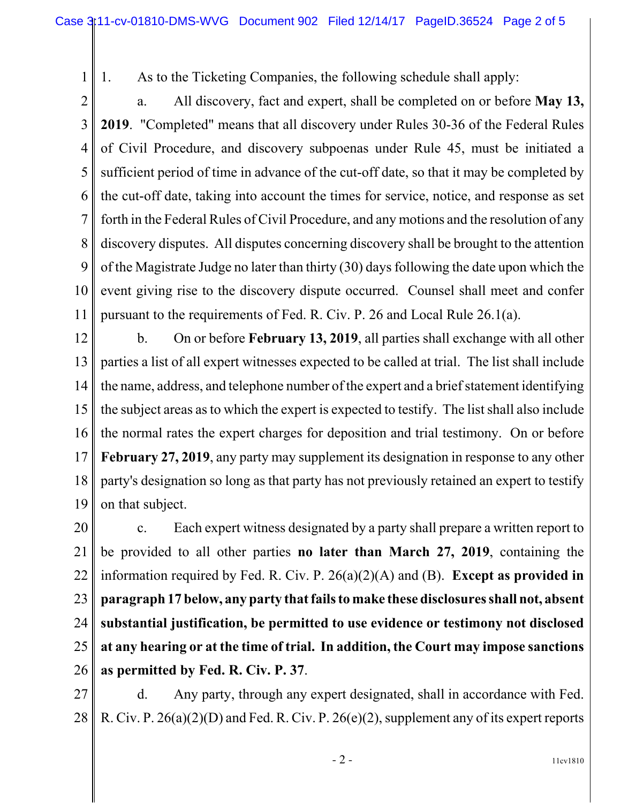1 2 1. As to the Ticketing Companies, the following schedule shall apply:

3 4 5 6 7 8 9 10 11 a. All discovery, fact and expert, shall be completed on or before **May 13, 2019**. "Completed" means that all discovery under Rules 30-36 of the Federal Rules of Civil Procedure, and discovery subpoenas under Rule 45, must be initiated a sufficient period of time in advance of the cut-off date, so that it may be completed by the cut-off date, taking into account the times for service, notice, and response as set forth in the Federal Rules of Civil Procedure, and any motions and the resolution of any discovery disputes. All disputes concerning discovery shall be brought to the attention of the Magistrate Judge no later than thirty (30) days following the date upon which the event giving rise to the discovery dispute occurred. Counsel shall meet and confer pursuant to the requirements of Fed. R. Civ. P. 26 and Local Rule 26.1(a).

12 13 14 15 16 17 18 19 b. On or before **February 13, 2019**, all parties shall exchange with all other parties a list of all expert witnesses expected to be called at trial. The list shall include the name, address, and telephone number of the expert and a brief statement identifying the subject areas as to which the expert is expected to testify. The list shall also include the normal rates the expert charges for deposition and trial testimony. On or before **February 27, 2019**, any party may supplement its designation in response to any other party's designation so long as that party has not previously retained an expert to testify on that subject.

20 21 22 23 24 25 26 c. Each expert witness designated by a party shall prepare a written report to be provided to all other parties **no later than March 27, 2019**, containing the information required by Fed. R. Civ. P. 26(a)(2)(A) and (B). **Except as provided in paragraph 17 below, any party that fails to make these disclosures shall not, absent substantial justification, be permitted to use evidence or testimony not disclosed at any hearing or at the time of trial. In addition, the Court may impose sanctions as permitted by Fed. R. Civ. P. 37**.

27 28 d. Any party, through any expert designated, shall in accordance with Fed. R. Civ. P.  $26(a)(2)(D)$  and Fed. R. Civ. P.  $26(e)(2)$ , supplement any of its expert reports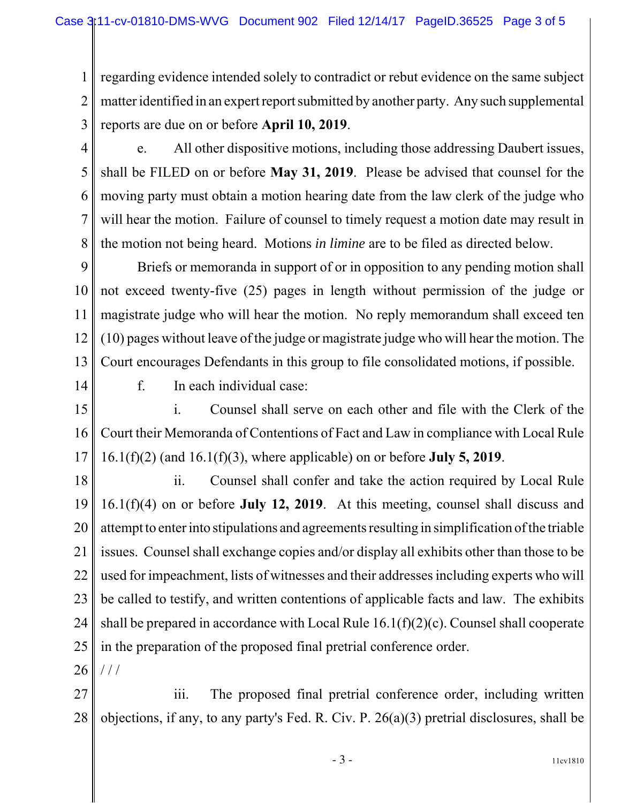1 2 3 regarding evidence intended solely to contradict or rebut evidence on the same subject matter identified in an expert report submitted by another party. Any such supplemental reports are due on or before **April 10, 2019**.

4

5

6

7

8

e. All other dispositive motions, including those addressing Daubert issues, shall be FILED on or before **May 31, 2019**. Please be advised that counsel for the moving party must obtain a motion hearing date from the law clerk of the judge who will hear the motion. Failure of counsel to timely request a motion date may result in the motion not being heard. Motions *in limine* are to be filed as directed below.

9 10 11 12 13 Briefs or memoranda in support of or in opposition to any pending motion shall not exceed twenty-five (25) pages in length without permission of the judge or magistrate judge who will hear the motion. No reply memorandum shall exceed ten (10) pages without leave of the judge or magistrate judge who will hear the motion. The Court encourages Defendants in this group to file consolidated motions, if possible.

14

f. In each individual case:

15 16 17 i. Counsel shall serve on each other and file with the Clerk of the Court their Memoranda of Contentions of Fact and Law in compliance with Local Rule 16.1(f)(2) (and 16.1(f)(3), where applicable) on or before **July 5, 2019**.

18 19 20 21 22 23 24 25 26 ii. Counsel shall confer and take the action required by Local Rule 16.1(f)(4) on or before **July 12, 2019**. At this meeting, counsel shall discuss and attempt to enter into stipulations and agreements resulting in simplification of the triable issues. Counsel shall exchange copies and/or display all exhibits other than those to be used for impeachment, lists of witnesses and their addresses including experts who will be called to testify, and written contentions of applicable facts and law. The exhibits shall be prepared in accordance with Local Rule  $16.1(f)(2)(c)$ . Counsel shall cooperate in the preparation of the proposed final pretrial conference order. / / /

27 28 iii. The proposed final pretrial conference order, including written objections, if any, to any party's Fed. R. Civ. P. 26(a)(3) pretrial disclosures, shall be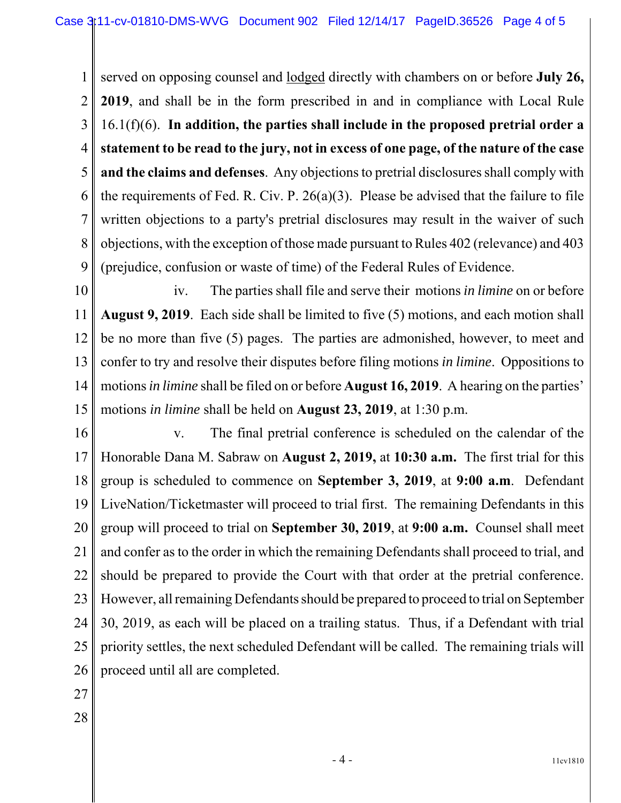1 2 3 4 5 6 7 8 9 served on opposing counsel and lodged directly with chambers on or before **July 26, 2019**, and shall be in the form prescribed in and in compliance with Local Rule 16.1(f)(6). **In addition, the parties shall include in the proposed pretrial order a statement to be read to the jury, not in excess of one page, of the nature of the case and the claims and defenses**. Any objections to pretrial disclosures shall comply with the requirements of Fed. R. Civ. P. 26(a)(3). Please be advised that the failure to file written objections to a party's pretrial disclosures may result in the waiver of such objections, with the exception of those made pursuant to Rules 402 (relevance) and 403 (prejudice, confusion or waste of time) of the Federal Rules of Evidence.

10 11 12 13 14 15 iv. The parties shall file and serve their motions *in limine* on or before **August 9, 2019**. Each side shall be limited to five (5) motions, and each motion shall be no more than five (5) pages. The parties are admonished, however, to meet and confer to try and resolve their disputes before filing motions *in limine*. Oppositions to motions *in limine* shall be filed on or before **August 16, 2019**. A hearing on the parties' motions *in limine* shall be held on **August 23, 2019**, at 1:30 p.m.

- 16 17 18 19 20 21 22 23 24 25 26 v. The final pretrial conference is scheduled on the calendar of the Honorable Dana M. Sabraw on **August 2, 2019,** at **10:30 a.m.** The first trial for this group is scheduled to commence on **September 3, 2019**, at **9:00 a.m**. Defendant LiveNation/Ticketmaster will proceed to trial first. The remaining Defendants in this group will proceed to trial on **September 30, 2019**, at **9:00 a.m.** Counsel shall meet and confer as to the order in which the remaining Defendants shall proceed to trial, and should be prepared to provide the Court with that order at the pretrial conference. However, all remaining Defendants should be prepared to proceed to trial on September 30, 2019, as each will be placed on a trailing status. Thus, if a Defendant with trial priority settles, the next scheduled Defendant will be called. The remaining trials will proceed until all are completed.
- 27
- 28